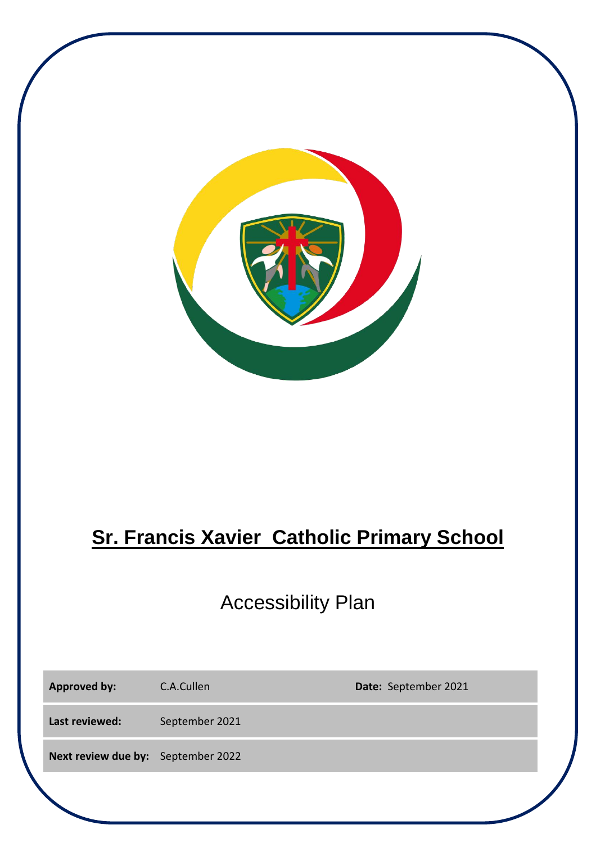

# **Sr. Francis Xavier Catholic Primary School**

## Accessibility Plan

| <b>Approved by:</b>                | C.A.Cullen     | Date: September 2021 |
|------------------------------------|----------------|----------------------|
| Last reviewed:                     | September 2021 |                      |
| Next review due by: September 2022 |                |                      |
|                                    |                |                      |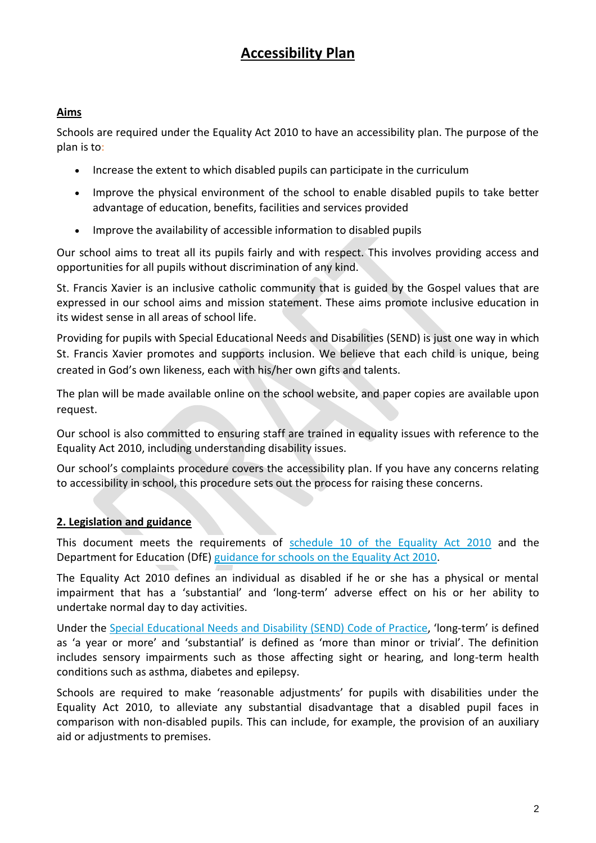## **Accessibility Plan**

#### **Aims**

Schools are required under the Equality Act 2010 to have an accessibility plan. The purpose of the plan is to:

- Increase the extent to which disabled pupils can participate in the curriculum
- Improve the physical environment of the school to enable disabled pupils to take better advantage of education, benefits, facilities and services provided
- Improve the availability of accessible information to disabled pupils

Our school aims to treat all its pupils fairly and with respect. This involves providing access and opportunities for all pupils without discrimination of any kind.

St. Francis Xavier is an inclusive catholic community that is guided by the Gospel values that are expressed in our school aims and mission statement. These aims promote inclusive education in its widest sense in all areas of school life.

Providing for pupils with Special Educational Needs and Disabilities (SEND) is just one way in which St. Francis Xavier promotes and supports inclusion. We believe that each child is unique, being created in God's own likeness, each with his/her own gifts and talents.

The plan will be made available online on the school website, and paper copies are available upon request.

Our school is also committed to ensuring staff are trained in equality issues with reference to the Equality Act 2010, including understanding disability issues.

Our school's complaints procedure covers the accessibility plan. If you have any concerns relating to accessibility in school, this procedure sets out the process for raising these concerns.

#### **2. Legislation and guidance**

This document meets the requirements of [schedule 10 of the Equality Act 2010](http://www.legislation.gov.uk/ukpga/2010/15/schedule/10) and the Department for Education (DfE) [guidance for schools on the Equality Act 2010.](https://www.gov.uk/government/publications/equality-act-2010-advice-for-schools)

The Equality Act 2010 defines an individual as disabled if he or she has a physical or mental impairment that has a 'substantial' and 'long-term' adverse effect on his or her ability to undertake normal day to day activities.

Under the Special Educational Needs and [Disability \(SEND\) Code of Practice](https://www.gov.uk/government/publications/send-code-of-practice-0-to-25), 'long-term' is defined as 'a year or more' and 'substantial' is defined as 'more than minor or trivial'. The definition includes sensory impairments such as those affecting sight or hearing, and long-term health conditions such as asthma, diabetes and epilepsy.

Schools are required to make 'reasonable adjustments' for pupils with disabilities under the Equality Act 2010, to alleviate any substantial disadvantage that a disabled pupil faces in comparison with non-disabled pupils. This can include, for example, the provision of an auxiliary aid or adjustments to premises.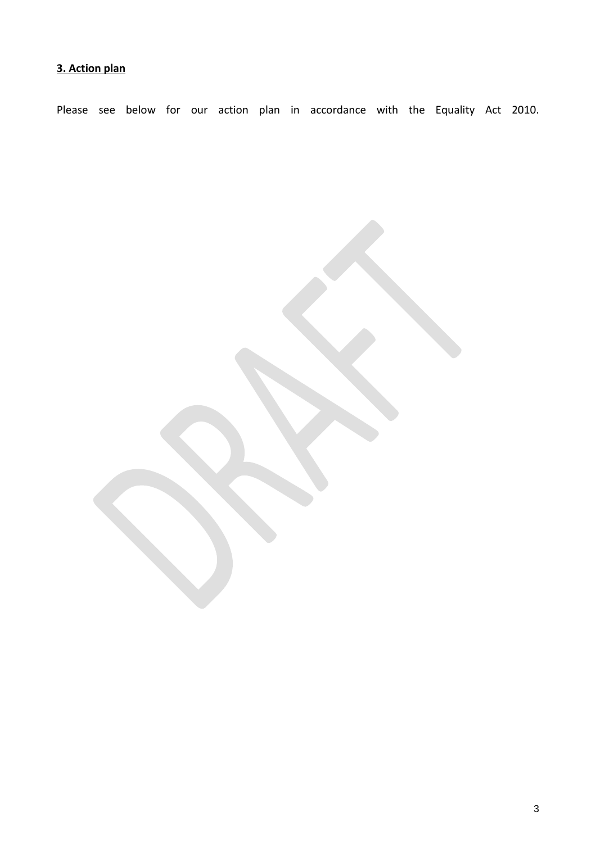### **3. Action plan**

Please see below for our action plan in accordance with the Equality Act 2010.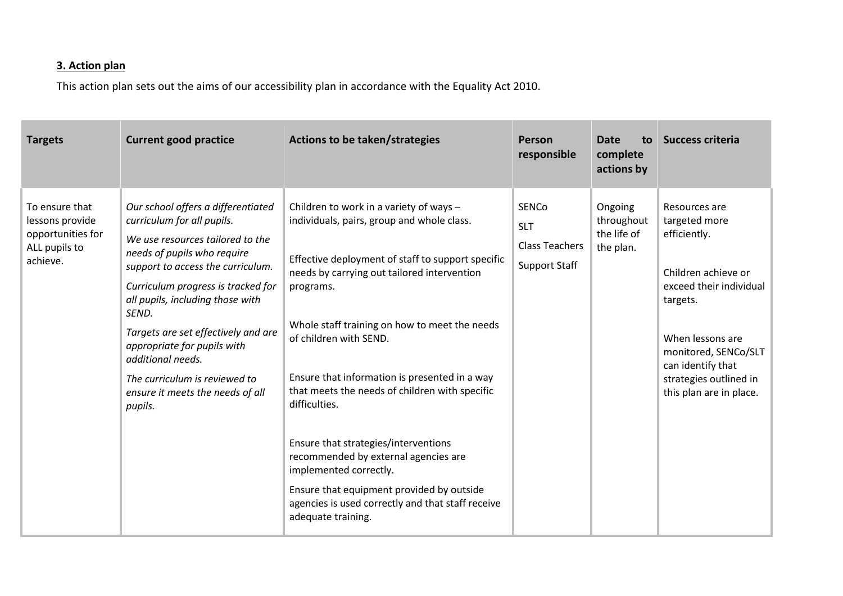#### **3. Action plan**

This action plan sets out the aims of our accessibility plan in accordance with the Equality Act 2010.

| <b>Targets</b>                                                                      | <b>Current good practice</b>                                                                                                                                                                                                                                                                                                                                                                                                           | Actions to be taken/strategies                                                                                                                                                                                                                                                                                                                                                                                                                                                                                                                                                                                                          | Person<br>responsible                                                       | Date<br>to<br>complete<br>actions by              | <b>Success criteria</b>                                                                                                                                                                                                            |
|-------------------------------------------------------------------------------------|----------------------------------------------------------------------------------------------------------------------------------------------------------------------------------------------------------------------------------------------------------------------------------------------------------------------------------------------------------------------------------------------------------------------------------------|-----------------------------------------------------------------------------------------------------------------------------------------------------------------------------------------------------------------------------------------------------------------------------------------------------------------------------------------------------------------------------------------------------------------------------------------------------------------------------------------------------------------------------------------------------------------------------------------------------------------------------------------|-----------------------------------------------------------------------------|---------------------------------------------------|------------------------------------------------------------------------------------------------------------------------------------------------------------------------------------------------------------------------------------|
| To ensure that<br>lessons provide<br>opportunities for<br>ALL pupils to<br>achieve. | Our school offers a differentiated<br>curriculum for all pupils.<br>We use resources tailored to the<br>needs of pupils who require<br>support to access the curriculum.<br>Curriculum progress is tracked for<br>all pupils, including those with<br>SEND.<br>Targets are set effectively and are<br>appropriate for pupils with<br>additional needs.<br>The curriculum is reviewed to<br>ensure it meets the needs of all<br>pupils. | Children to work in a variety of ways -<br>individuals, pairs, group and whole class.<br>Effective deployment of staff to support specific<br>needs by carrying out tailored intervention<br>programs.<br>Whole staff training on how to meet the needs<br>of children with SEND.<br>Ensure that information is presented in a way<br>that meets the needs of children with specific<br>difficulties.<br>Ensure that strategies/interventions<br>recommended by external agencies are<br>implemented correctly.<br>Ensure that equipment provided by outside<br>agencies is used correctly and that staff receive<br>adequate training. | <b>SENCo</b><br><b>SLT</b><br><b>Class Teachers</b><br><b>Support Staff</b> | Ongoing<br>throughout<br>the life of<br>the plan. | Resources are<br>targeted more<br>efficiently.<br>Children achieve or<br>exceed their individual<br>targets.<br>When lessons are<br>monitored, SENCo/SLT<br>can identify that<br>strategies outlined in<br>this plan are in place. |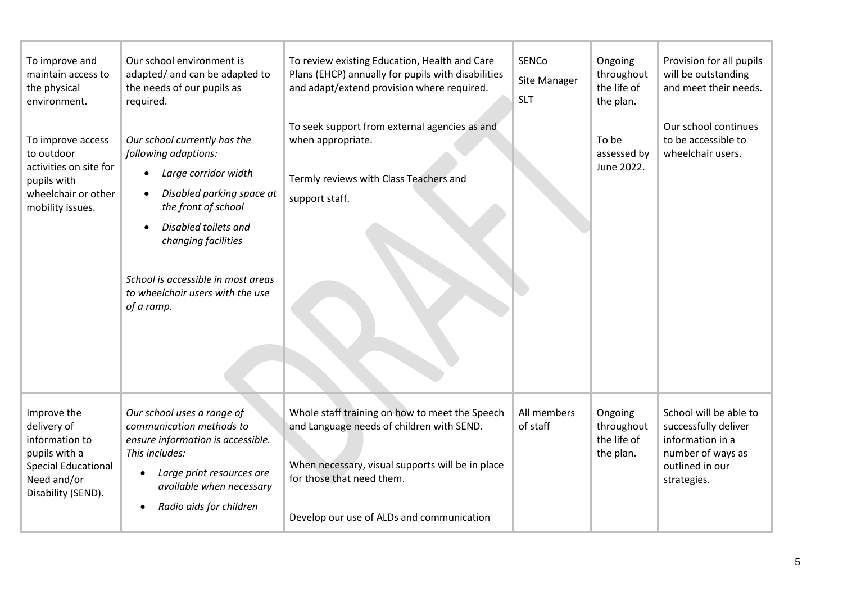| To improve and<br>maintain access to<br>the physical<br>environment.                                                             | Our school environment is<br>adapted/ and can be adapted to<br>the needs of our pupils as<br>required.                                                                                                                                                                                                         | To review existing Education, Health and Care<br>Plans (EHCP) annually for pupils with disabilities<br>and adapt/extend provision where required.<br>To seek support from external agencies as and                        | SENCo<br>Site Manager<br><b>SLT</b> | Ongoing<br>throughout<br>the life of<br>the plan. | Provision for all pupils<br>will be outstanding<br>and meet their needs.<br>Our school continues                          |
|----------------------------------------------------------------------------------------------------------------------------------|----------------------------------------------------------------------------------------------------------------------------------------------------------------------------------------------------------------------------------------------------------------------------------------------------------------|---------------------------------------------------------------------------------------------------------------------------------------------------------------------------------------------------------------------------|-------------------------------------|---------------------------------------------------|---------------------------------------------------------------------------------------------------------------------------|
| To improve access<br>to outdoor<br>activities on site for<br>pupils with<br>wheelchair or other<br>mobility issues.              | Our school currently has the<br>following adaptions:<br>Large corridor width<br>$\bullet$<br>Disabled parking space at<br>$\bullet$<br>the front of school<br>Disabled toilets and<br>$\bullet$<br>changing facilities<br>School is accessible in most areas<br>to wheelchair users with the use<br>of a ramp. | when appropriate.<br>Termly reviews with Class Teachers and<br>support staff.                                                                                                                                             |                                     | To be<br>assessed by<br>June 2022.                | to be accessible to<br>wheelchair users.                                                                                  |
|                                                                                                                                  |                                                                                                                                                                                                                                                                                                                |                                                                                                                                                                                                                           |                                     |                                                   |                                                                                                                           |
| Improve the<br>delivery of<br>information to<br>pupils with a<br><b>Special Educational</b><br>Need and/or<br>Disability (SEND). | Our school uses a range of<br>communication methods to<br>ensure information is accessible.<br>This includes:<br>Large print resources are<br>available when necessary<br>Radio aids for children                                                                                                              | Whole staff training on how to meet the Speech<br>and Language needs of children with SEND.<br>When necessary, visual supports will be in place<br>for those that need them.<br>Develop our use of ALDs and communication | All members<br>of staff             | Ongoing<br>throughout<br>the life of<br>the plan. | School will be able to<br>successfully deliver<br>information in a<br>number of ways as<br>outlined in our<br>strategies. |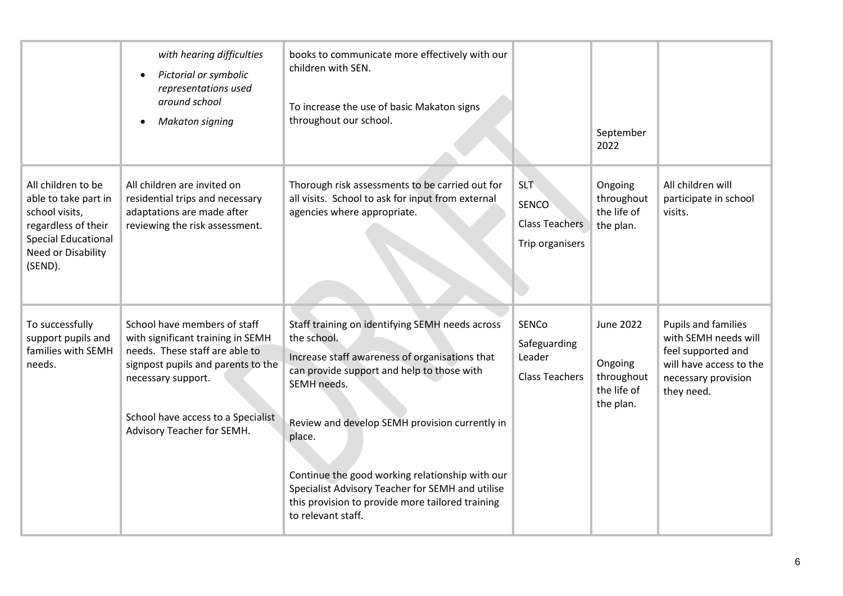|                                                                                                                                                    | with hearing difficulties<br>Pictorial or symbolic<br>representations used<br>around school<br><b>Makaton signing</b>                                                                                                               | books to communicate more effectively with our<br>children with SEN.<br>To increase the use of basic Makaton signs<br>throughout our school.                                                                                                                                                                                                                                                                               |                                                                        | September<br>2022                                              |                                                                                                                                   |
|----------------------------------------------------------------------------------------------------------------------------------------------------|-------------------------------------------------------------------------------------------------------------------------------------------------------------------------------------------------------------------------------------|----------------------------------------------------------------------------------------------------------------------------------------------------------------------------------------------------------------------------------------------------------------------------------------------------------------------------------------------------------------------------------------------------------------------------|------------------------------------------------------------------------|----------------------------------------------------------------|-----------------------------------------------------------------------------------------------------------------------------------|
| All children to be<br>able to take part in<br>school visits,<br>regardless of their<br><b>Special Educational</b><br>Need or Disability<br>(SEND). | All children are invited on<br>residential trips and necessary<br>adaptations are made after<br>reviewing the risk assessment.                                                                                                      | Thorough risk assessments to be carried out for<br>all visits. School to ask for input from external<br>agencies where appropriate.                                                                                                                                                                                                                                                                                        | <b>SLT</b><br><b>SENCO</b><br><b>Class Teachers</b><br>Trip organisers | Ongoing<br>throughout<br>the life of<br>the plan.              | All children will<br>participate in school<br>visits.                                                                             |
| To successfully<br>support pupils and<br>families with SEMH<br>needs.                                                                              | School have members of staff<br>with significant training in SEMH<br>needs. These staff are able to<br>signpost pupils and parents to the<br>necessary support.<br>School have access to a Specialist<br>Advisory Teacher for SEMH. | Staff training on identifying SEMH needs across<br>the school.<br>Increase staff awareness of organisations that<br>can provide support and help to those with<br>SEMH needs.<br>Review and develop SEMH provision currently in<br>place.<br>Continue the good working relationship with our<br>Specialist Advisory Teacher for SEMH and utilise<br>this provision to provide more tailored training<br>to relevant staff. | <b>SENCo</b><br>Safeguarding<br>Leader<br><b>Class Teachers</b>        | June 2022<br>Ongoing<br>throughout<br>the life of<br>the plan. | Pupils and families<br>with SEMH needs will<br>feel supported and<br>will have access to the<br>necessary provision<br>they need. |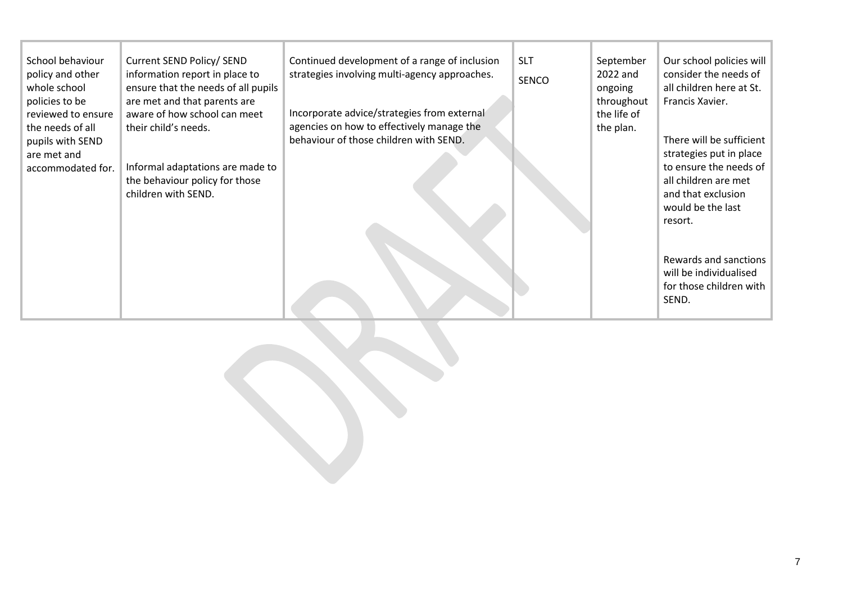| School behaviour<br>policy and other<br>whole school<br>policies to be<br>reviewed to ensure<br>the needs of all<br>pupils with SEND<br>are met and<br>accommodated for. | Current SEND Policy/ SEND<br>information report in place to<br>ensure that the needs of all pupils<br>are met and that parents are<br>aware of how school can meet<br>their child's needs.<br>Informal adaptations are made to<br>the behaviour policy for those<br>children with SEND. | Continued development of a range of inclusion<br>strategies involving multi-agency approaches.<br>Incorporate advice/strategies from external<br>agencies on how to effectively manage the<br>behaviour of those children with SEND. | <b>SLT</b><br>SENCO | September<br>2022 and<br>ongoing<br>throughout<br>the life of<br>the plan. | Our school policies will<br>consider the needs of<br>all children here at St.<br>Francis Xavier.<br>There will be sufficient<br>strategies put in place<br>to ensure the needs of<br>all children are met<br>and that exclusion<br>would be the last<br>resort. |
|--------------------------------------------------------------------------------------------------------------------------------------------------------------------------|-----------------------------------------------------------------------------------------------------------------------------------------------------------------------------------------------------------------------------------------------------------------------------------------|--------------------------------------------------------------------------------------------------------------------------------------------------------------------------------------------------------------------------------------|---------------------|----------------------------------------------------------------------------|-----------------------------------------------------------------------------------------------------------------------------------------------------------------------------------------------------------------------------------------------------------------|
|                                                                                                                                                                          |                                                                                                                                                                                                                                                                                         |                                                                                                                                                                                                                                      |                     |                                                                            | Rewards and sanctions<br>will be individualised<br>for those children with<br>SEND.                                                                                                                                                                             |